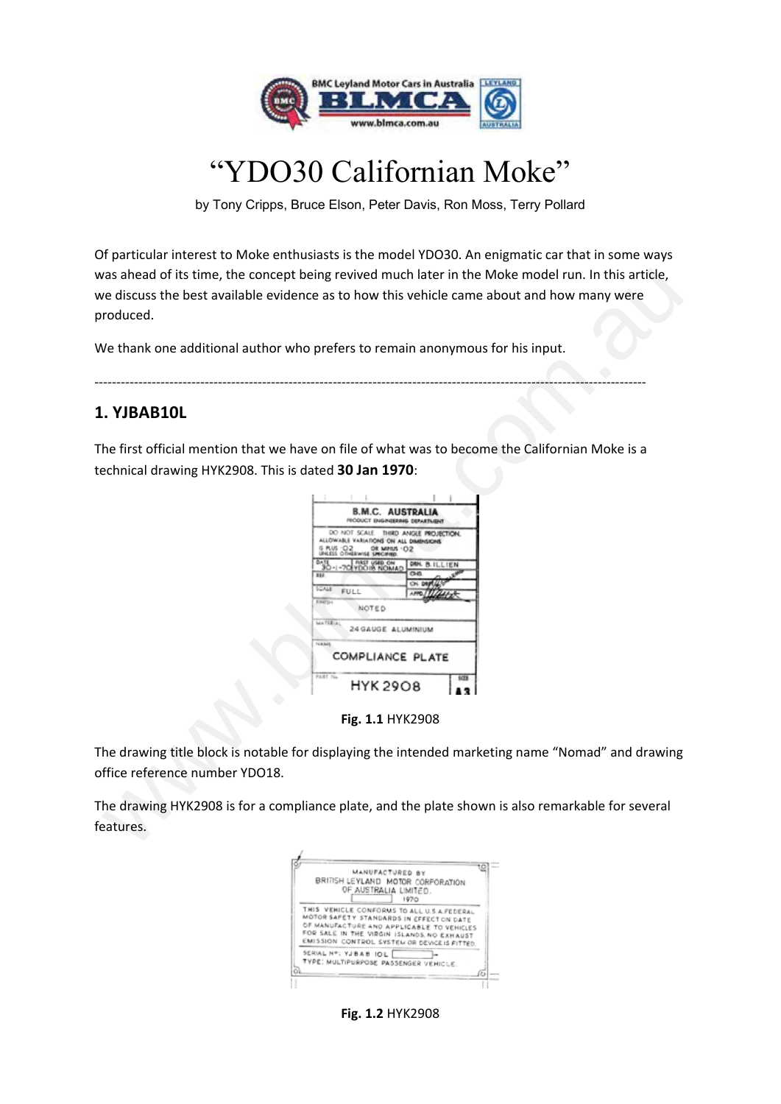

# "YDO30 Californian Moke"

by Tony Cripps, Bruce Elson, Peter Davis, Ron Moss, Terry Pollard

Of particular interest to Moke enthusiasts is the model YDO30. An enigmatic car that in some ways was ahead of its time, the concept being revived much later in the Moke model run. In this article, we discuss the best available evidence as to how this vehicle came about and how many were produced.

# **1. YJBAB10L**

| roduced.                                             | as ahead of its time, the concept being revived much later in the Moke model run. In this article,<br>e discuss the best available evidence as to how this vehicle came about and how many were                                                                                                     |
|------------------------------------------------------|-----------------------------------------------------------------------------------------------------------------------------------------------------------------------------------------------------------------------------------------------------------------------------------------------------|
|                                                      | Je thank one additional author who prefers to remain anonymous for his input.                                                                                                                                                                                                                       |
| . YJBAB10L                                           |                                                                                                                                                                                                                                                                                                     |
| echnical drawing HYK2908. This is dated 30 Jan 1970: | he first official mention that we have on file of what was to become the Californian Moke is a                                                                                                                                                                                                      |
|                                                      | <b>B.M.C. AUSTRALIA</b><br><b>PRODUCT ENGINEERING DEPARTMENT</b><br>DO NOT SCALE<br>THIRD ANGLE PROJECTION<br>LLOWAILE VARIATIONS ON ALL DIMINSIONS<br>DAN. B.ILLIEN<br><b>FULL</b><br>NOTED<br>MATERIA<br>24 GAUGE ALUMINIUM<br>COMPLIANCE PLATE<br>PART No<br><b>HYK 2908</b><br>Fig. 1.1 HYK2908 |
| ffice reference number YDO18.                        | he drawing title block is notable for displaying the intended marketing name "Nomad" and drawing                                                                                                                                                                                                    |
| eatures.                                             | he drawing HYK2908 is for a compliance plate, and the plate shown is also remarkable for several                                                                                                                                                                                                    |

**Fig. 1.1** HYK2908

| MANUFACTURED BY<br>BRITISH LEYLAND MOTOR CORFORATION<br>OF AUSTRALIA LIMITED.                                                                                                                                                    | 1970 |
|----------------------------------------------------------------------------------------------------------------------------------------------------------------------------------------------------------------------------------|------|
| THIS VEHICLE CONFORMS TO ALL U.S.A.FEDERAL<br>MOTOR SAFETY STANDARDS IN EFFECT ON DATE<br>OF MANUFACTURE AND APPLICABLE TO VEHICLES<br>FOR SALE IN THE VIRGIN ISLANDS NO EXHAUST<br>EMISSION CONTROL SYSTEM OR DEVICE IS FITTED. |      |
| SERIAL Nº: YJBAB IOL<br>TYPE: MULTIPURPOSE PASSENGER VEHICLE.                                                                                                                                                                    |      |

**Fig. 1.2** HYK2908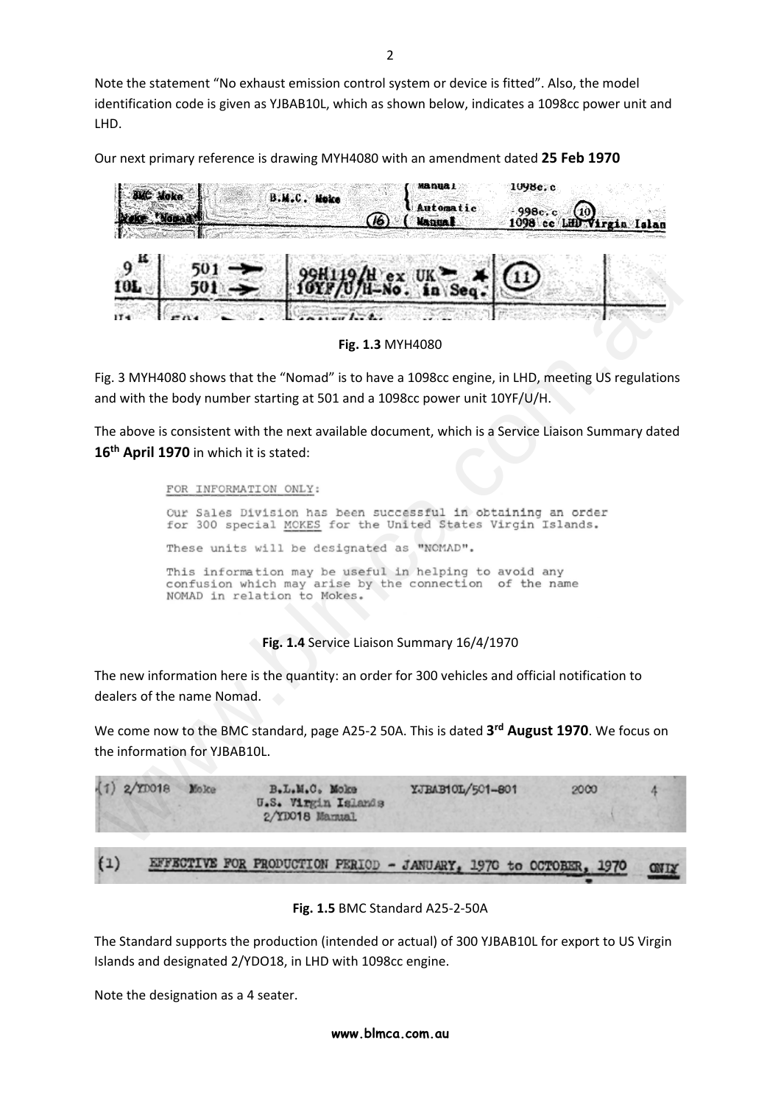Note the statement "No exhaust emission control system or device is fitted". Also, the model identification code is given as YJBAB10L, which as shown below, indicates a 1098cc power unit and LHD.

Our next primary reference is drawing MYH4080 with an amendment dated **25 Feb 1970**



**Fig. 1.3** MYH4080

Fig. 3 MYH4080 shows that the "Nomad" is to have a 1098cc engine, in LHD, meeting US regulations and with the body number starting at 501 and a 1098cc power unit 10YF/U/H.

The above is consistent with the next available document, which is a Service Liaison Summary dated 16<sup>th</sup> April 1970 in which it is stated:

**FOR THE SURFAIT AND SURFAIT AND ALL CALCE THE SURFAIT AND ALL CALCE THE SURFAINDED**<br>
IT'S IS ANYHAD80 shows that the "Normal" is to have a 1098cc engine, in LHD, meeting US regulations<br>  $\theta^2$  and MVH4080 shows that the

**Fig. 1.4** Service Liaison Summary 16/4/1970

The new information here is the quantity: an order for 300 vehicles and official notification to dealers of the name Nomad.

We come now to the BMC standard, page A25‐2 50A. This is dated **3rd August 1970**. We focus on the information for YJBAB10L.



#### **Fig. 1.5** BMC Standard A25‐2‐50A

The Standard supports the production (intended or actual) of 300 YJBAB10L for export to US Virgin Islands and designated 2/YDO18, in LHD with 1098cc engine.

Note the designation as a 4 seater.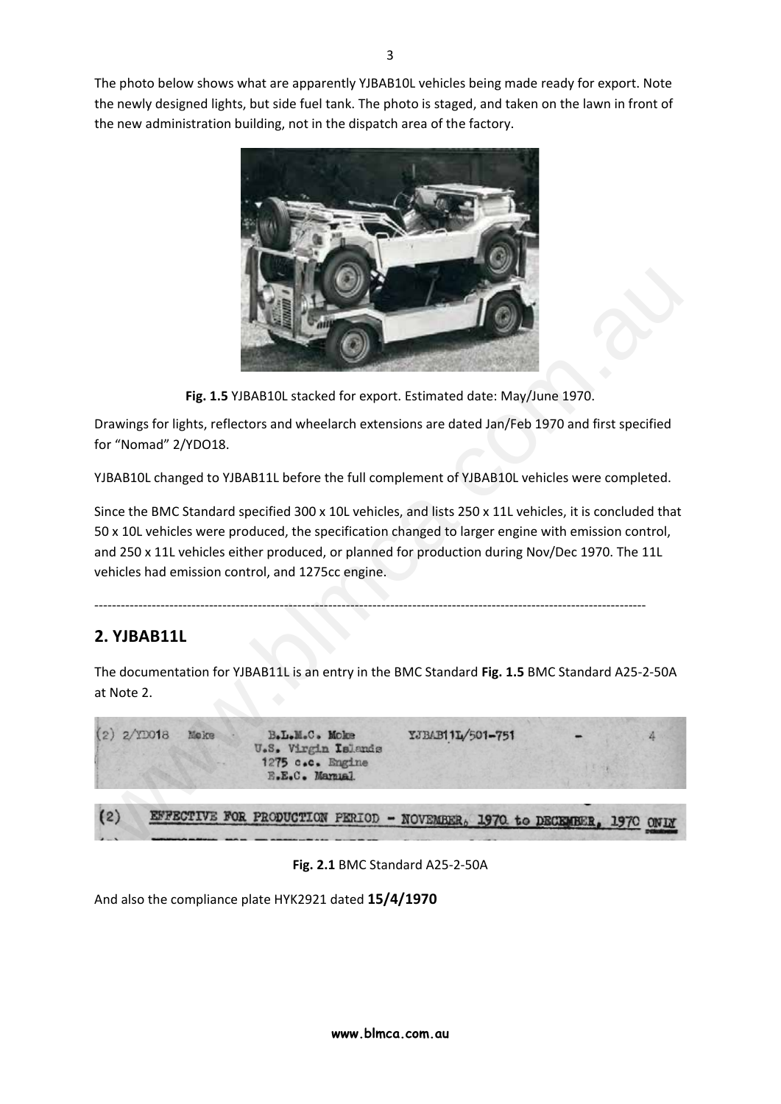The photo below shows what are apparently YJBAB10L vehicles being made ready for export. Note the newly designed lights, but side fuel tank. The photo is staged, and taken on the lawn in front of the new administration building, not in the dispatch area of the factory.



**Fig. 1.5** YJBAB10L stacked for export. Estimated date: May/June 1970.

Drawings for lights, reflectors and wheelarch extensions are dated Jan/Feb 1970 and first specified for "Nomad" 2/YDO18.

YJBAB10L changed to YJBAB11L before the full complement of YJBAB10L vehicles were completed.

Since the BMC Standard specified 300 x 10L vehicles, and lists 250 x 11L vehicles, it is concluded that 50 x 10L vehicles were produced, the specification changed to larger engine with emission control, and 250 x 11L vehicles either produced, or planned for production during Nov/Dec 1970. The 11L vehicles had emission control, and 1275cc engine.

‐‐‐‐‐‐‐‐‐‐‐‐‐‐‐‐‐‐‐‐‐‐‐‐‐‐‐‐‐‐‐‐‐‐‐‐‐‐‐‐‐‐‐‐‐‐‐‐‐‐‐‐‐‐‐‐‐‐‐‐‐‐‐‐‐‐‐‐‐‐‐‐‐‐‐‐‐‐‐‐‐‐‐‐‐‐‐‐‐‐‐‐‐‐‐‐‐‐‐‐‐‐‐‐‐‐‐‐‐‐‐‐‐‐‐‐‐‐‐‐‐‐‐‐‐

# **2. YJBAB11L**

The documentation for YJBAB11L is an entry in the BMC Standard **Fig. 1.5** BMC Standard A25‐2‐50A at Note 2.



**Fig. 2.1** BMC Standard A25‐2‐50A

And also the compliance plate HYK2921 dated **15/4/1970**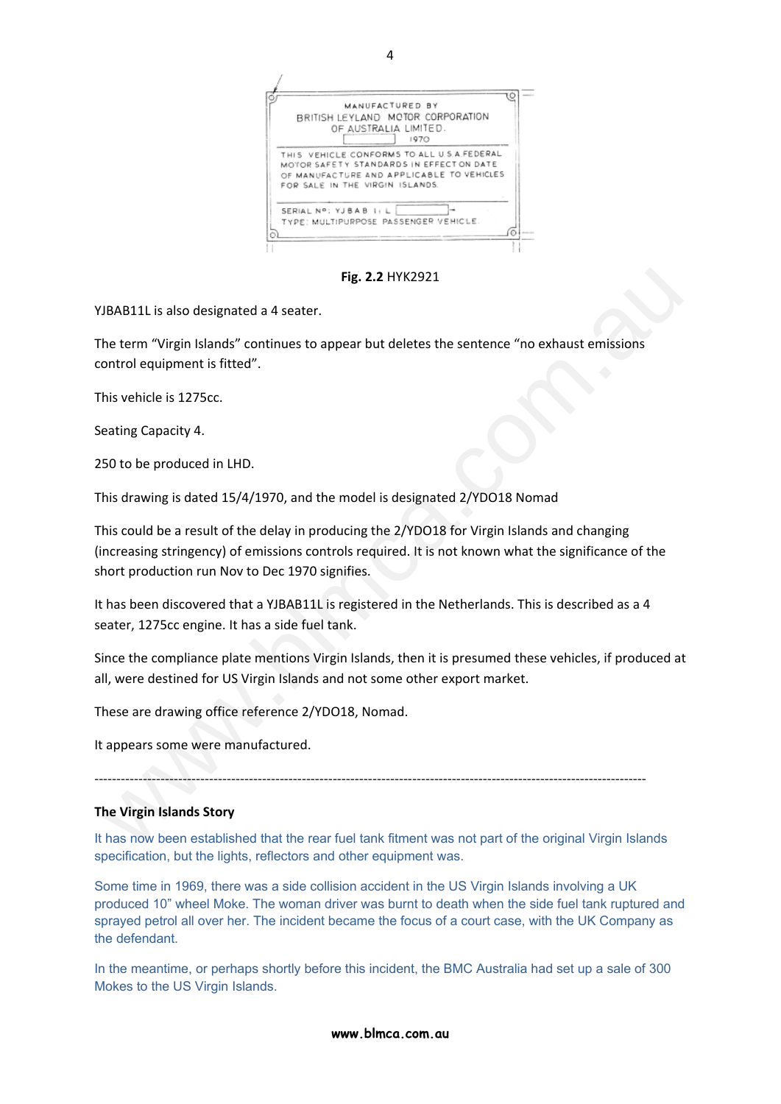

 $\Delta$ 

**Fig. 2.2** HYK2921

YJBAB11L is also designated a 4 seater.

The term "Virgin Islands" continues to appear but deletes the sentence "no exhaust emissions control equipment is fitted".

This vehicle is 1275cc.

Seating Capacity 4.

250 to be produced in LHD.

This drawing is dated 15/4/1970, and the model is designated 2/YDO18 Nomad

This could be a result of the delay in producing the 2/YDO18 for Virgin Islands and changing (increasing stringency) of emissions controls required. It is not known what the significance of the short production run Nov to Dec 1970 signifies. Fig. 2.2 HYK2921<br>Fig. 2.2 HYK2921<br>The term "Virgin Islands" continues to appear but deletes the sentence "no exhaust emissions<br>ontrol equipment is fitted".<br>This vehicle is 1275cc.<br>asting Capacity 4.<br>So to be produced in LH

It has been discovered that a YJBAB11L is registered in the Netherlands. This is described as a 4 seater, 1275cc engine. It has a side fuel tank.

Since the compliance plate mentions Virgin Islands, then it is presumed these vehicles, if produced at all, were destined for US Virgin Islands and not some other export market.

These are drawing office reference 2/YDO18, Nomad.

It appears some were manufactured.

‐‐‐‐‐‐‐‐‐‐‐‐‐‐‐‐‐‐‐‐‐‐‐‐‐‐‐‐‐‐‐‐‐‐‐‐‐‐‐‐‐‐‐‐‐‐‐‐‐‐‐‐‐‐‐‐‐‐‐‐‐‐‐‐‐‐‐‐‐‐‐‐‐‐‐‐‐‐‐‐‐‐‐‐‐‐‐‐‐‐‐‐‐‐‐‐‐‐‐‐‐‐‐‐‐‐‐‐‐‐‐‐‐‐‐‐‐‐‐‐‐‐‐‐‐

### **The Virgin Islands Story**

It has now been established that the rear fuel tank fitment was not part of the original Virgin Islands specification, but the lights, reflectors and other equipment was.

Some time in 1969, there was a side collision accident in the US Virgin Islands involving a UK produced 10" wheel Moke. The woman driver was burnt to death when the side fuel tank ruptured and sprayed petrol all over her. The incident became the focus of a court case, with the UK Company as the defendant.

In the meantime, or perhaps shortly before this incident, the BMC Australia had set up a sale of 300 Mokes to the US Virgin Islands.

**www.blmca.com.au**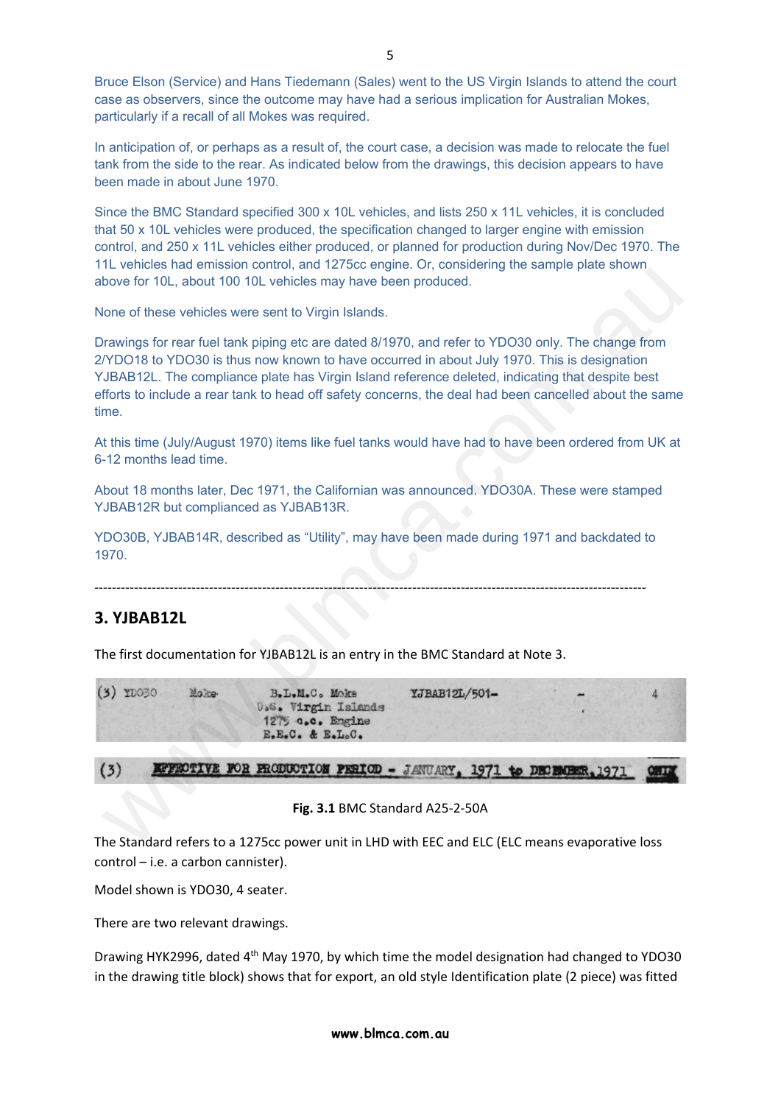Bruce Elson (Service) and Hans Tiedemann (Sales) went to the US Virgin Islands to attend the court case as observers, since the outcome may have had a serious implication for Australian Mokes, particularly if a recall of all Mokes was required.

In anticipation of, or perhaps as a result of, the court case, a decision was made to relocate the fuel tank from the side to the rear. As indicated below from the drawings, this decision appears to have been made in about June 1970.

Since the BMC Standard specified 300 x 10L vehicles, and lists 250 x 11L vehicles, it is concluded that 50 x 10L vehicles were produced, the specification changed to larger engine with emission control, and 250 x 11L vehicles either produced, or planned for production during Nov/Dec 1970. The 11L vehicles had emission control, and 1275cc engine. Or, considering the sample plate shown above for 10L, about 100 10L vehicles may have been produced.

None of these vehicles were sent to Virgin Islands.

Drawings for rear fuel tank piping etc are dated 8/1970, and refer to YDO30 only. The change from 2/YDO18 to YDO30 is thus now known to have occurred in about July 1970. This is designation YJBAB12L. The compliance plate has Virgin Island reference deleted, indicating that despite best efforts to include a rear tank to head off safety concerns, the deal had been cancelled about the same time.

At this time (July/August 1970) items like fuel tanks would have had to have been ordered from UK at 6-12 months lead time.

About 18 months later, Dec 1971, the Californian was announced. YDO30A. These were stamped YJBAB12R but complianced as YJBAB13R.

YDO30B, YJBAB14R, described as "Utility", may have been made during 1971 and backdated to 1970.

‐‐‐‐‐‐‐‐‐‐‐‐‐‐‐‐‐‐‐‐‐‐‐‐‐‐‐‐‐‐‐‐‐‐‐‐‐‐‐‐‐‐‐‐‐‐‐‐‐‐‐‐‐‐‐‐‐‐‐‐‐‐‐‐‐‐‐‐‐‐‐‐‐‐‐‐‐‐‐‐‐‐‐‐‐‐‐‐‐‐‐‐‐‐‐‐‐‐‐‐‐‐‐‐‐‐‐‐‐‐‐‐‐‐‐‐‐‐‐‐‐‐‐‐‐

# **3. YJBAB12L**

The first documentation for YJBAB12L is an entry in the BMC Standard at Note 3.



#### **Fig. 3.1** BMC Standard A25‐2‐50A

The Standard refers to a 1275cc power unit in LHD with EEC and ELC (ELC means evaporative loss control – i.e. a carbon cannister).

Model shown is YDO30, 4 seater.

There are two relevant drawings.

Drawing HYK2996, dated 4th May 1970, by which time the model designation had changed to YDO30 in the drawing title block) shows that for export, an old style Identification plate (2 piece) was fitted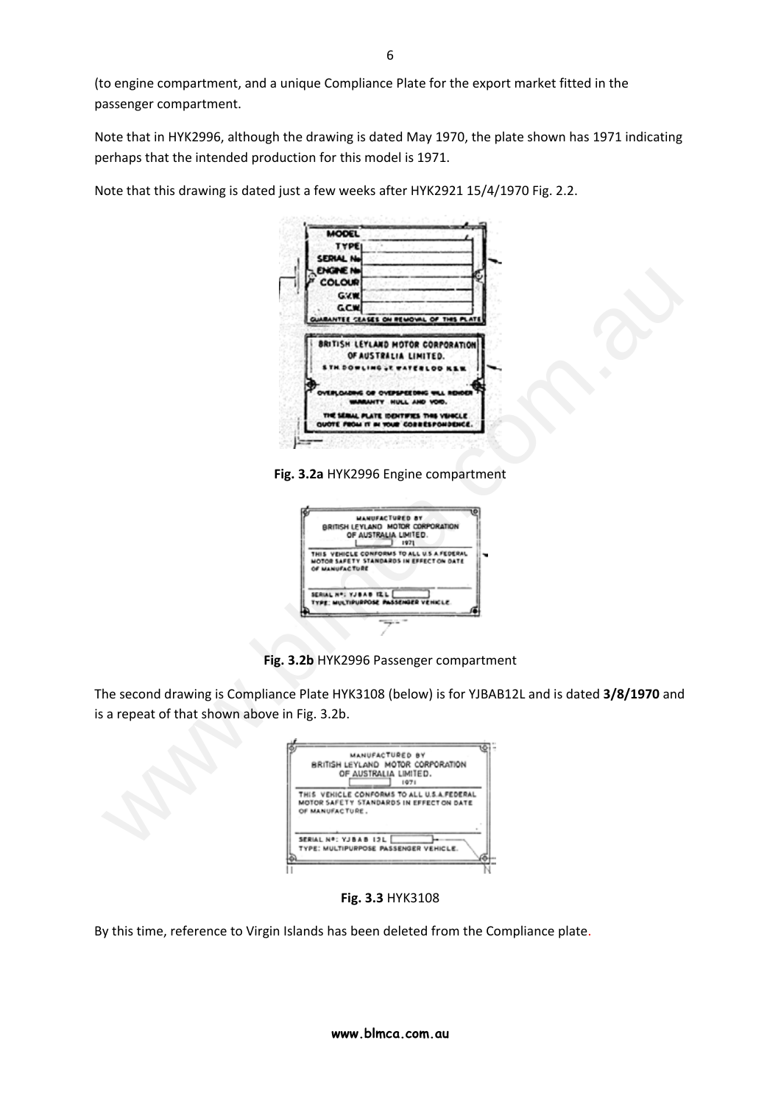(to engine compartment, and a unique Compliance Plate for the export market fitted in the passenger compartment.

Note that in HYK2996, although the drawing is dated May 1970, the plate shown has 1971 indicating perhaps that the intended production for this model is 1971.

Note that this drawing is dated just a few weeks after HYK2921 15/4/1970 Fig. 2.2.

|                                            | MODEL<br><b>TYPE</b><br>SERIAL No<br>ENGINE N <del>a</del><br>COLOUR<br><b>G.VM</b><br><b>GCM</b>                                                                                                              |
|--------------------------------------------|----------------------------------------------------------------------------------------------------------------------------------------------------------------------------------------------------------------|
|                                            | NTEE CEASES ON REMOVAL OF THIS PL<br><b>BRITISH LEYLAND MOTOR CORPORATION</b><br>OF AUSTRALIA LIMITED.<br>TY HULL AND VOID.<br>THE SERAL PLATE IDENTIFIES THIS VEHICLE<br>QUOTE FROM IT IN YOUR CORRESPONDENCE |
|                                            | Fig. 3.2a HYK2996 Engine compartment<br><b>MANUFACTURED BY</b><br>BRITISH LEYLAND MOTOR CORPORATION                                                                                                            |
|                                            | OF AUSTRALIA LIMITED.<br>1971<br>THIS VEHICLE CONFORMS TO ALL U.S.A.FEDERAL<br>MOTOR SAFETY STANDARDS IN EFFECT ON DATE<br>OF MANUFACTURE<br>SERIAL Nº: YJBAB IZL<br>MULTIPURPOSE PASSENGER VEHICLE            |
|                                            | Fig. 3.2b HYK2996 Passenger compartment                                                                                                                                                                        |
| a repeat of that shown above in Fig. 3.2b. | he second drawing is Compliance Plate HYK3108 (below) is for YJBAB12L and is dated 3/8/1970 and                                                                                                                |
|                                            | MANUFACTURED BY<br>BRITISH LEYLAND MOTOR CORPORATION<br>OF AUSTRALIA LIMITED.<br>1971                                                                                                                          |
|                                            | THIS VEHICLE CONFORMS TO ALL U.S.A.FEDERAL<br>MOTOR SAFETY STANDARDS IN EFFECT ON DATE<br>OF MANUFACTURE.<br>SERIAL Nº: YJBAB 12L                                                                              |
|                                            |                                                                                                                                                                                                                |



**Fig. 3.2b** HYK2996 Passenger compartment

| THIS VEHICLE CONFORMS TO ALL U.S.A.FEDERAL<br>MOTOR SAFETY STANDARDS IN EFFECT ON DATE<br>OF MANUFACTURE.<br>SERIAL Nº: YJBAB 12L<br>TYPE: MULTIPURPOSE PASSENGER VEHICLE. | MANUFACTURED BY<br>RRITISH LEYLAND MOTOR CORPORATION<br>OF AUSTRALIA LIMITED.<br>1971 |
|----------------------------------------------------------------------------------------------------------------------------------------------------------------------------|---------------------------------------------------------------------------------------|
|                                                                                                                                                                            |                                                                                       |
|                                                                                                                                                                            |                                                                                       |

**Fig. 3.3** HYK3108

By this time, reference to Virgin Islands has been deleted from the Compliance plate.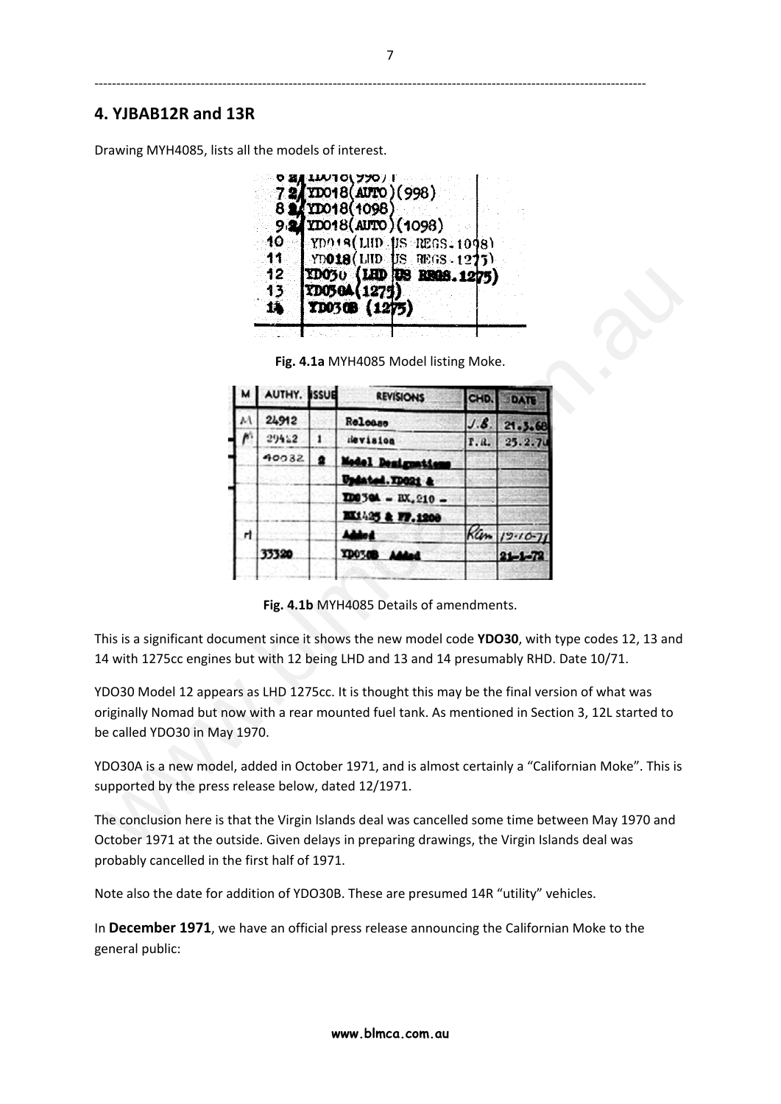# **4. YJBAB12R and 13R**

Drawing MYH4085, lists all the models of interest.



**Fig. 4.1a** MYH4085 Model listing Moke.

|                                                     |   | 12<br>13.<br>鸫 | <b>TD05</b> | YD030 (LHD RS REGS. 1275)<br>YD030B (1275) |      |                                                                                                                                                                                                  |
|-----------------------------------------------------|---|----------------|-------------|--------------------------------------------|------|--------------------------------------------------------------------------------------------------------------------------------------------------------------------------------------------------|
|                                                     |   |                |             |                                            |      |                                                                                                                                                                                                  |
|                                                     |   |                |             | Fig. 4.1a MYH4085 Model listing Moke.      |      |                                                                                                                                                                                                  |
|                                                     |   | AUTHY. ISSUE   |             | <b>REVISIONS</b>                           | CHD  | DATE                                                                                                                                                                                             |
|                                                     |   | 24912          |             | Release                                    | J.B  | 21.3.68                                                                                                                                                                                          |
|                                                     |   | 29412          | 1           | devision                                   | r.a. | 25.2.7                                                                                                                                                                                           |
|                                                     |   | 40032          | ∙           |                                            |      |                                                                                                                                                                                                  |
|                                                     |   |                |             |                                            |      |                                                                                                                                                                                                  |
|                                                     |   |                |             | $ID0304 - BX.210 -$                        |      |                                                                                                                                                                                                  |
|                                                     |   |                |             | M1425 & FF.1200                            |      |                                                                                                                                                                                                  |
|                                                     | н | 33320          |             |                                            |      | $K_{m}$ 19.10.                                                                                                                                                                                   |
|                                                     |   |                |             | <b>TD0348</b>                              |      | 21-1                                                                                                                                                                                             |
|                                                     |   |                |             | Fig. 4.1b MYH4085 Details of amendments.   |      | his is a significant document since it shows the new model code YDO30, with type codes 12, 13 and<br>4 with 1275cc engines but with 12 being LHD and 13 and 14 presumably RHD. Date 10/71.       |
| e called YDO30 in May 1970.                         |   |                |             |                                            |      | DO30 Model 12 appears as LHD 1275cc. It is thought this may be the final version of what was<br>riginally Nomad but now with a rear mounted fuel tank. As mentioned in Section 3, 12L started to |
| upported by the press release below, dated 12/1971. |   |                |             |                                            |      | DO30A is a new model, added in October 1971, and is almost certainly a "Californian Moke". This is                                                                                               |
|                                                     |   |                |             |                                            |      | he conclusion here is that the Virgin Islands deal was cancelled some time between May 1970 and                                                                                                  |
|                                                     |   |                |             |                                            |      | ctober 1971 at the outside. Given delays in preparing drawings, the Virgin Islands deal was                                                                                                      |

**Fig. 4.1b** MYH4085 Details of amendments.

The conclusion here is that the Virgin Islands deal was cancelled some time between May 1970 and October 1971 at the outside. Given delays in preparing drawings, the Virgin Islands deal was probably cancelled in the first half of 1971.

Note also the date for addition of YDO30B. These are presumed 14R "utility" vehicles.

In **December 1971**, we have an official press release announcing the Californian Moke to the general public:

‐‐‐‐‐‐‐‐‐‐‐‐‐‐‐‐‐‐‐‐‐‐‐‐‐‐‐‐‐‐‐‐‐‐‐‐‐‐‐‐‐‐‐‐‐‐‐‐‐‐‐‐‐‐‐‐‐‐‐‐‐‐‐‐‐‐‐‐‐‐‐‐‐‐‐‐‐‐‐‐‐‐‐‐‐‐‐‐‐‐‐‐‐‐‐‐‐‐‐‐‐‐‐‐‐‐‐‐‐‐‐‐‐‐‐‐‐‐‐‐‐‐‐‐‐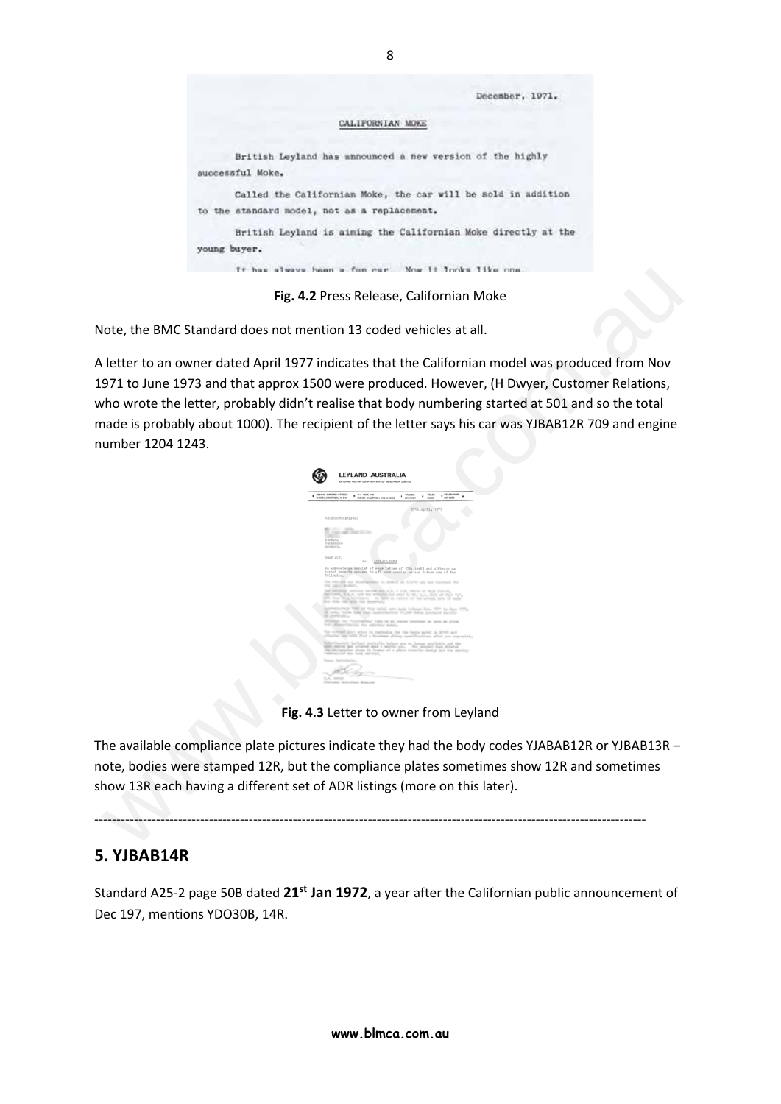

**Fig. 4.2** Press Release, Californian Moke

Note, the BMC Standard does not mention 13 coded vehicles at all.

A letter to an owner dated April 1977 indicates that the Californian model was produced from Nov 1971 to June 1973 and that approx 1500 were produced. However, (H Dwyer, Customer Relations, who wrote the letter, probably didn't realise that body numbering started at 501 and so the total made is probably about 1000). The recipient of the letter says his car was YJBAB12R 709 and engine number 1204 1243. Fig. 4.2 Press Release, Californian Mole<br>
Fig. 4.2 Press Release, Californian Mole<br>
letter to an owner dated April 1977 indicates that Californian model was produced from Nov<br>
971 to June 1973 and that approx 1500 were pro

| <b>MA-MA CAPORD STREET</b><br>PO BOX DA<br>BONDI JUNCTION, N.S.W.<br>DONDI JUNCTION, N.S.W 2002                                                                                                                | <b>TELEFIONE</b><br><b>TILEK</b><br>CARLES<br>٠<br>367-6039<br><b>LEYAGET</b><br>assess                                                                                                                                          |
|----------------------------------------------------------------------------------------------------------------------------------------------------------------------------------------------------------------|----------------------------------------------------------------------------------------------------------------------------------------------------------------------------------------------------------------------------------|
|                                                                                                                                                                                                                | 276h Ipril, 1977                                                                                                                                                                                                                 |
| HE: PED: KI: APL: 435                                                                                                                                                                                          |                                                                                                                                                                                                                                  |
|                                                                                                                                                                                                                |                                                                                                                                                                                                                                  |
| <b>Britain College</b><br>an course sales of                                                                                                                                                                   |                                                                                                                                                                                                                                  |
| an .<br>Elensin.                                                                                                                                                                                               |                                                                                                                                                                                                                                  |
| <b>Registably</b><br>EDILARD.                                                                                                                                                                                  |                                                                                                                                                                                                                                  |
|                                                                                                                                                                                                                |                                                                                                                                                                                                                                  |
| Dear Sir,<br>Tiers<br>LITLAND MORE                                                                                                                                                                             |                                                                                                                                                                                                                                  |
| connot provide amovers to all your questes we can inform you of the<br>following.<br>the local McMort.<br>the seturing overally beable and C.P. 1 L.E. With of Not Firest.<br>the ship the said out secondary. | The welcome you move applicated for Ayde-Of the U/S/70 and your dustringed that<br>Sattlett, N.A.C. and the solution and do its, L.C. most at Part for,<br>300 that this retribute. In him to return of the series) new of suite |
| En afterføldling                                                                                                                                                                                               | extended with at this rated unto sale behaves for, with to June 10<br>18. twicz, trains loan tour approximately 24,000 lishes produced lists/fly.                                                                                |
| For, discovinging the estating satula-                                                                                                                                                                         | SERINGS the "ColorSellow" from he as heapen predoced on lares on plane                                                                                                                                                           |
|                                                                                                                                                                                                                | The submitt-just price in castralia far the basis said in \$700 and<br>attained am with find a brochure cheing specifications within you responsing.                                                                             |
|                                                                                                                                                                                                                | Sidertmetels bether awards below are as longer analysis and the<br>anni centos por alterno anno i morto ago. Na present buo debetos<br>The pre-bangadine planes in Fassens of a plants oftential shorting and the unstitute      |
| "commercial" has been selected.                                                                                                                                                                                |                                                                                                                                                                                                                                  |
| Tomme that tailed for-                                                                                                                                                                                         |                                                                                                                                                                                                                                  |
|                                                                                                                                                                                                                |                                                                                                                                                                                                                                  |
|                                                                                                                                                                                                                |                                                                                                                                                                                                                                  |

**Fig. 4.3** Letter to owner from Leyland

The available compliance plate pictures indicate they had the body codes YJABAB12R or YJBAB13R – note, bodies were stamped 12R, but the compliance plates sometimes show 12R and sometimes show 13R each having a different set of ADR listings (more on this later).

# ‐‐‐‐‐‐‐‐‐‐‐‐‐‐‐‐‐‐‐‐‐‐‐‐‐‐‐‐‐‐‐‐‐‐‐‐‐‐‐‐‐‐‐‐‐‐‐‐‐‐‐‐‐‐‐‐‐‐‐‐‐‐‐‐‐‐‐‐‐‐‐‐‐‐‐‐‐‐‐‐‐‐‐‐‐‐‐‐‐‐‐‐‐‐‐‐‐‐‐‐‐‐‐‐‐‐‐‐‐‐‐‐‐‐‐‐‐‐‐‐‐‐‐‐‐

# **5. YJBAB14R**

Standard A25‐2 page 50B dated **21st Jan 1972**, a year after the Californian public announcement of Dec 197, mentions YDO30B, 14R.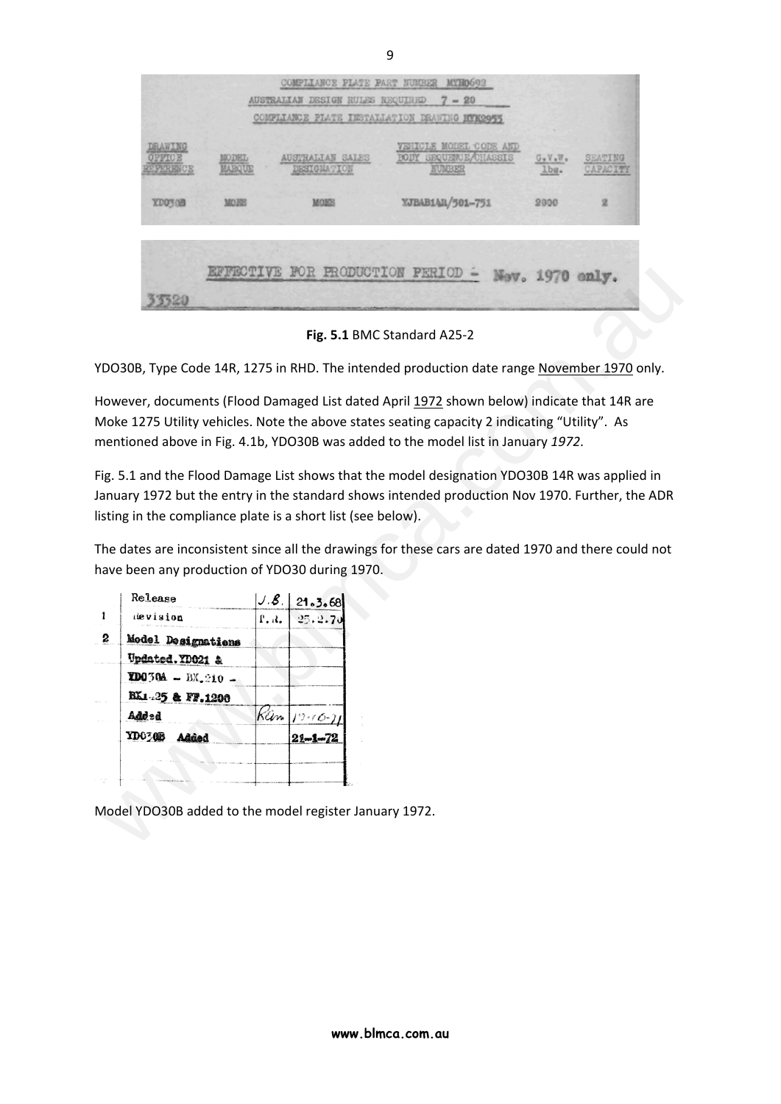|                    |       | AUSTRALIAN DESIGN RULES REQUIRED       | COMPLIANCE PLATE PART NUMBER MYH0692<br>$7 - 20$<br>COMPLIANCE PLATE INSTALLATION DRAWING HYK2955 |                  |                     |
|--------------------|-------|----------------------------------------|---------------------------------------------------------------------------------------------------|------------------|---------------------|
| DRAWING<br>PERENCE | MODEL | AUSTRALIAN SALES<br><b>DESIGNATION</b> | VEHICLE MODEL CODE AND<br><b>BODY SEQUENCE/CHASSIS</b><br>NUMBER                                  | $G*V*W*$<br>lbs. | SEATING<br>CAPACITY |
| <b>YDO'S OB</b>    | MORE  | MORB                                   | YJBAB1AR/501-751                                                                                  | 2000             | 2                   |
|                    |       | EFFECTIVE FOR PRODUCTION PERIOD =      |                                                                                                   | Nev. 1970 enly.  |                     |

**Fig. 5.1** BMC Standard A25‐2

|                                                           |                |                                | Fig. 5.1 BMC Standard A25-2                                                                                                                                                                                                                                                      |
|-----------------------------------------------------------|----------------|--------------------------------|----------------------------------------------------------------------------------------------------------------------------------------------------------------------------------------------------------------------------------------------------------------------------------|
|                                                           |                |                                | YDO30B, Type Code 14R, 1275 in RHD. The intended production date range November 1970 only.                                                                                                                                                                                       |
|                                                           |                |                                | However, documents (Flood Damaged List dated April 1972 shown below) indicate that 14R are<br>Moke 1275 Utility vehicles. Note the above states seating capacity 2 indicating "Utility". As<br>mentioned above in Fig. 4.1b, YDO30B was added to the model list in January 1972. |
|                                                           |                |                                | Fig. 5.1 and the Flood Damage List shows that the model designation YDO30B 14R was applied in<br>January 1972 but the entry in the standard shows intended production Nov 1970. Further, the ADR                                                                                 |
|                                                           |                |                                | listing in the compliance plate is a short list (see below).                                                                                                                                                                                                                     |
|                                                           |                |                                |                                                                                                                                                                                                                                                                                  |
| have been any production of YDO30 during 1970.<br>Release | J.B.           | 21.3.68                        | The dates are inconsistent since all the drawings for these cars are dated 1970 and there could not                                                                                                                                                                              |
| devision                                                  | $\mathbf{a}$ . | 25.2.7                         |                                                                                                                                                                                                                                                                                  |
| Model Designations                                        |                |                                |                                                                                                                                                                                                                                                                                  |
| Updated.YD021 &                                           |                |                                |                                                                                                                                                                                                                                                                                  |
| $2D0304 - BX_{0210} -$<br>BX1-25 & FF.1200                |                |                                |                                                                                                                                                                                                                                                                                  |
| Added                                                     | Rûm            |                                |                                                                                                                                                                                                                                                                                  |
| <b>YD0308</b><br>Added                                    |                | $19 - 10 - 7$<br>$21 - 1 - 72$ |                                                                                                                                                                                                                                                                                  |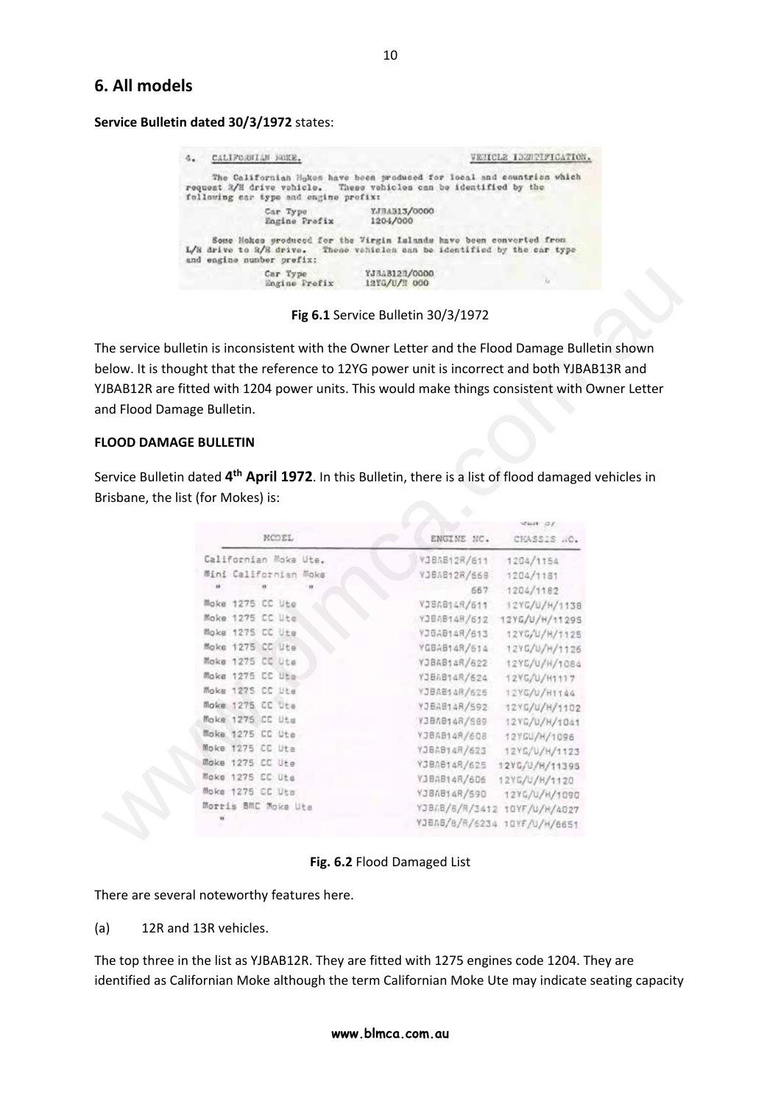# **6. All models**

**Service Bulletin dated 30/3/1972** states:

| 4. CALIFORNIAN NGKE.                                                                                                                                                         |                               | VENICLE IDENTIFICATION.                                                |
|------------------------------------------------------------------------------------------------------------------------------------------------------------------------------|-------------------------------|------------------------------------------------------------------------|
| request R/H drive vehicle. These vehicles can be identified by the<br>following car type and engine prefix:                                                                  |                               | The Californian Hokes have been produced for local and countries which |
| Car Type<br>Engine Prefix                                                                                                                                                    | YJBAB13/0000<br>1204/000      |                                                                        |
| Some Hokes produced for the Virgin Islands have been converted from<br>L/H drive to R/R drive. These vehicles can be identified by the car type<br>and engine number prefix: |                               |                                                                        |
| Car Type<br>Engine Frefix                                                                                                                                                    | YJ3AB127/0000<br>12YG/U/N 000 | u                                                                      |

**Fig 6.1** Service Bulletin 30/3/1972

#### **FLOOD DAMAGE BULLETIN**

|                                                                                                                  | Fig 6.1 Service Bulletin 30/3/1972 |                                               |
|------------------------------------------------------------------------------------------------------------------|------------------------------------|-----------------------------------------------|
|                                                                                                                  |                                    |                                               |
| he service bulletin is inconsistent with the Owner Letter and the Flood Damage Bulletin shown                    |                                    |                                               |
| elow. It is thought that the reference to 12YG power unit is incorrect and both YJBAB13R and                     |                                    |                                               |
|                                                                                                                  |                                    |                                               |
| JBAB12R are fitted with 1204 power units. This would make things consistent with Owner Letter                    |                                    |                                               |
| nd Flood Damage Bulletin.                                                                                        |                                    |                                               |
|                                                                                                                  |                                    |                                               |
| <b>LOOD DAMAGE BULLETIN</b>                                                                                      |                                    |                                               |
|                                                                                                                  |                                    |                                               |
| ervice Bulletin dated 4 <sup>th</sup> April 1972. In this Bulletin, there is a list of flood damaged vehicles in |                                    |                                               |
|                                                                                                                  |                                    |                                               |
| risbane, the list (for Mokes) is:                                                                                |                                    |                                               |
|                                                                                                                  |                                    | WHAT SIL                                      |
| MODEL                                                                                                            | ENGINE NC.                         | CHASSIS  O.                                   |
| Californian Moke Ute.                                                                                            | VJ85512R/611                       | 1204/1154                                     |
| Mini Californian Moke                                                                                            |                                    |                                               |
|                                                                                                                  | VJBAB12R/66B                       | 1204/1181                                     |
|                                                                                                                  |                                    | 1204/1182                                     |
|                                                                                                                  | 667                                |                                               |
| Moke 1275 CC Ute                                                                                                 | VJBAB14R/611                       | 12YG/U/H/1138                                 |
| Moke 1275 CC Ute                                                                                                 |                                    | YJBAB14R/612 12YG/U/H/11295                   |
| Moke 1275 CC Uts                                                                                                 | YJGAB14R/613                       | 12YG/U/H/1125                                 |
| Moke 1275 CC Ute                                                                                                 | YGBAB14R/614                       | 12YG/U/H/1126                                 |
| Moke 1275 CC Uta                                                                                                 | YJBAB14R/622                       | 12YC/U/H/1084                                 |
| Moke 1275 CC Uto                                                                                                 | YJBAB14R/624                       | 12YG/U/H1117                                  |
| Moke 1275 CC Ute                                                                                                 | YJBAB14R/626                       | 12YG/U/H1144                                  |
| Moke 1275 CC Uta                                                                                                 | YJBAB14R/592                       | 12YG/U/H/1102                                 |
| Moke 1275 CC Uts                                                                                                 | YJBAB14R/589                       | 12YG/U/H/1041                                 |
| Moke 1275 CC Ute                                                                                                 | YJBAB14R/608                       | 12YGU/H/1096                                  |
| Moke 1275 CC Uta                                                                                                 | YJBAB14R/623                       | 12YG/U/H/1123                                 |
| Moke 1275 CC Ute                                                                                                 |                                    | YJBA814R/625 12YG/U/H/11395                   |
| Moke 1275 CC Ute                                                                                                 |                                    | VJBAB14R/606 12YC/U/H/1120                    |
| Moke 1275 CC Uts<br>Morris BMC Moke Ute                                                                          | YJ8A814R/590                       | 12YG/U/H/1090<br>YJBAB/6/R/3412 10YF/U/H/4027 |

**Fig. 6.2** Flood Damaged List

There are several noteworthy features here.

(a) 12R and 13R vehicles.

The top three in the list as YJBAB12R. They are fitted with 1275 engines code 1204. They are identified as Californian Moke although the term Californian Moke Ute may indicate seating capacity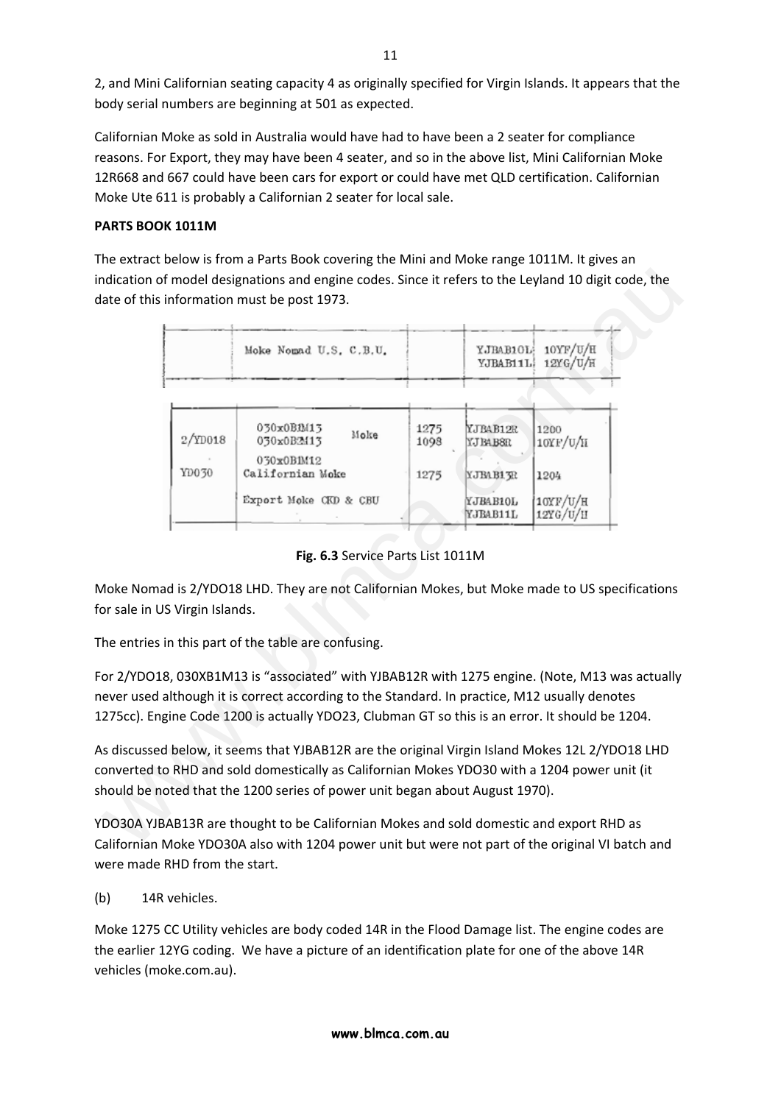2, and Mini Californian seating capacity 4 as originally specified for Virgin Islands. It appears that the body serial numbers are beginning at 501 as expected.

Californian Moke as sold in Australia would have had to have been a 2 seater for compliance reasons. For Export, they may have been 4 seater, and so in the above list, Mini Californian Moke 12R668 and 667 could have been cars for export or could have met QLD certification. Californian Moke Ute 611 is probably a Californian 2 seater for local sale.

## **PARTS BOOK 1011M**

The extract below is from a Parts Book covering the Mini and Moke range 1011M. It gives an indication of model designations and engine codes. Since it refers to the Leyland 10 digit code, the date of this information must be post 1973.

|                               | Moke Nomad U.S. C.B.U.                                                                                                                                                                                                                                                                          |              | YJBAB10L<br>YJBAB11L             | 10YF/U/H<br>12YG/U/H            |
|-------------------------------|-------------------------------------------------------------------------------------------------------------------------------------------------------------------------------------------------------------------------------------------------------------------------------------------------|--------------|----------------------------------|---------------------------------|
| $2/$ ID018                    | 030x0BM13<br>Moke<br>030x0B2413<br>030x0B1M12                                                                                                                                                                                                                                                   | 1275<br>1098 | YJBAB12R<br>YJ BAB8R             | 1200<br>10YF/U/H                |
| YD030                         | Californian Moke<br>Export Moke CKD & CBU                                                                                                                                                                                                                                                       | 1275         | YJBAB13R<br>YJBAB10L<br>YJBAB11L | 1204<br>10YF/U/H<br>$12$ YG/U/H |
| or sale in US Virgin Islands. | loke Nomad is 2/YDO18 LHD. They are not Californian Mokes, but Moke made to US specifications                                                                                                                                                                                                   |              |                                  |                                 |
|                               | he entries in this part of the table are confusing.                                                                                                                                                                                                                                             |              |                                  |                                 |
|                               | or 2/YDO18, 030XB1M13 is "associated" with YJBAB12R with 1275 engine. (Note, M13 was actually<br>ever used although it is correct according to the Standard. In practice, M12 usually denotes<br>275cc). Engine Code 1200 is actually YDO23, Clubman GT so this is an error. It should be 1204. |              |                                  |                                 |
|                               | s discussed below, it seems that YJBAB12R are the original Virgin Island Mokes 12L 2/YDO18 LHD<br>onverted to RHD and sold domestically as Californian Mokes YDO30 with a 1204 power unit (it<br>hould be noted that the 1200 series of power unit began about August 1970).                    |              |                                  |                                 |
|                               | DO30A YJBAB13R are thought to be Californian Mokes and sold domestic and export RHD as                                                                                                                                                                                                          |              |                                  |                                 |

**Fig. 6.3** Service Parts List 1011M

YDO30A YJBAB13R are thought to be Californian Mokes and sold domestic and export RHD as Californian Moke YDO30A also with 1204 power unit but were not part of the original VI batch and were made RHD from the start.

(b) 14R vehicles.

Moke 1275 CC Utility vehicles are body coded 14R in the Flood Damage list. The engine codes are the earlier 12YG coding. We have a picture of an identification plate for one of the above 14R vehicles (moke.com.au).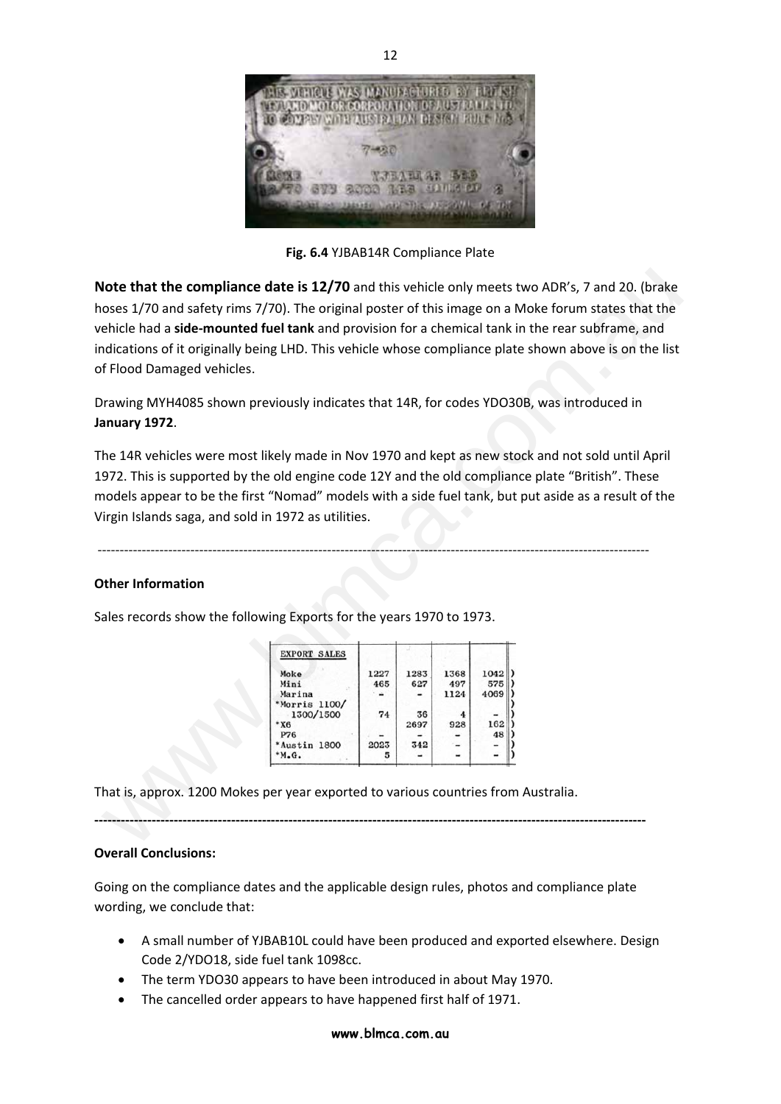

**Fig. 6.4** YJBAB14R Compliance Plate

**Note that the compliance date is 12/70** and this vehicle only meets two ADR's, 7 and 20. (brake hoses 1/70 and safety rims 7/70). The original poster of this image on a Moke forum states that the vehicle had a **side‐mounted fuel tank** and provision for a chemical tank in the rear subframe, and indications of it originally being LHD. This vehicle whose compliance plate shown above is on the list of Flood Damaged vehicles. Iote that the compliance date is 12/70 and this vehicle only meets two ADR's, 7 and 20. (brake<br>
exist 1/70 and safety rims 7/70). The original poster of this image on a Moke forum states that the<br>
ehicle had a side-mounted

Drawing MYH4085 shown previously indicates that 14R, for codes YDO30B, was introduced in **January 1972**.

The 14R vehicles were most likely made in Nov 1970 and kept as new stock and not sold until April 1972. This is supported by the old engine code 12Y and the old compliance plate "British". These models appear to be the first "Nomad" models with a side fuel tank, but put aside as a result of the Virgin Islands saga, and sold in 1972 as utilities.

‐‐‐‐‐‐‐‐‐‐‐‐‐‐‐‐‐‐‐‐‐‐‐‐‐‐‐‐‐‐‐‐‐‐‐‐‐‐‐‐‐‐‐‐‐‐‐‐‐‐‐‐‐‐‐‐‐‐‐‐‐‐‐‐‐‐‐‐‐‐‐‐‐‐‐‐‐‐‐‐‐‐‐‐‐‐‐‐‐‐‐‐‐‐‐‐‐‐‐‐‐‐‐‐‐‐‐‐‐‐‐‐‐‐‐‐‐‐‐‐‐‐‐‐‐

#### **Other Information**

Sales records show the following Exports for the years 1970 to 1973.

| <b>EXPORT SALES</b>        |      |      |      |      |
|----------------------------|------|------|------|------|
| Moke                       | 1227 | 1283 | 1368 | 1042 |
| Mini                       | 465  | 627  | 497  | 575  |
| Marina                     |      |      | 1124 | 4069 |
| *Morris 1100/<br>1300/1500 | 74   | 36   | 4    |      |
| $*X6$                      |      | 2697 | 928  | 162  |
| <b>P76</b>                 |      |      |      | 48   |
| *Austin 1800               | 2023 | 342  |      |      |
| ,M.G.                      | 5    |      |      |      |
|                            |      |      |      |      |

That is, approx. 1200 Mokes per year exported to various countries from Australia.

#### **Overall Conclusions:**

Going on the compliance dates and the applicable design rules, photos and compliance plate wording, we conclude that:

**‐‐‐‐‐‐‐‐‐‐‐‐‐‐‐‐‐‐‐‐‐‐‐‐‐‐‐‐‐‐‐‐‐‐‐‐‐‐‐‐‐‐‐‐‐‐‐‐‐‐‐‐‐‐‐‐‐‐‐‐‐‐‐‐‐‐‐‐‐‐‐‐‐‐‐‐‐‐‐‐‐‐‐‐‐‐‐‐‐‐‐‐‐‐‐‐‐‐‐‐‐‐‐‐‐‐‐‐‐‐‐‐‐‐‐‐‐‐‐‐‐‐‐‐‐** 

- A small number of YJBAB10L could have been produced and exported elsewhere. Design Code 2/YDO18, side fuel tank 1098cc.
- The term YDO30 appears to have been introduced in about May 1970.
- The cancelled order appears to have happened first half of 1971.